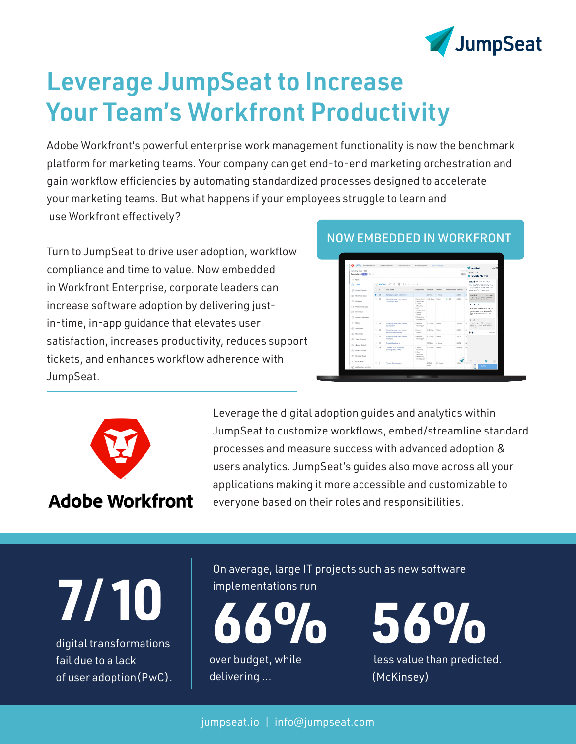

# Leverage JumpSeat to Increase Your Team's Workfront Productivity

Adobe Workfront's powerful enterprise work management functionality is now the benchmark platform for marketing teams. Your company can get end-to-end marketing orchestration and gain workflow efficiencies by automating standardized processes designed to accelerate your marketing teams. But what happens if your employees struggle to learn and use Workfront effectively?

Turn to JumpSeat to drive user adoption, workflow compliance and time to value. Now embedded in Workfront Enterprise, corporate leaders can increase software adoption by delivering justin-time, in-app guidance that elevates user satisfaction, increases productivity, reduces support tickets, and enhances workflow adherence with JumpSeat.

### NOW EMBEDDED IN WORKFRONT





**Adobe Workfront** 

Leverage the digital adoption guides and analytics within JumpSeat to customize workflows, embed/streamline standard processes and measure success with advanced adoption & users analytics. JumpSeat's guides also move across all your applications making it more accessible and customizable to everyone based on their roles and responsibilities.

**7**/**10**

digital transformations fail due to a lack of user adoption(PwC). On average, large IT projects such as new software implementations run



 less value than predicted. **56%**

(McKinsey)